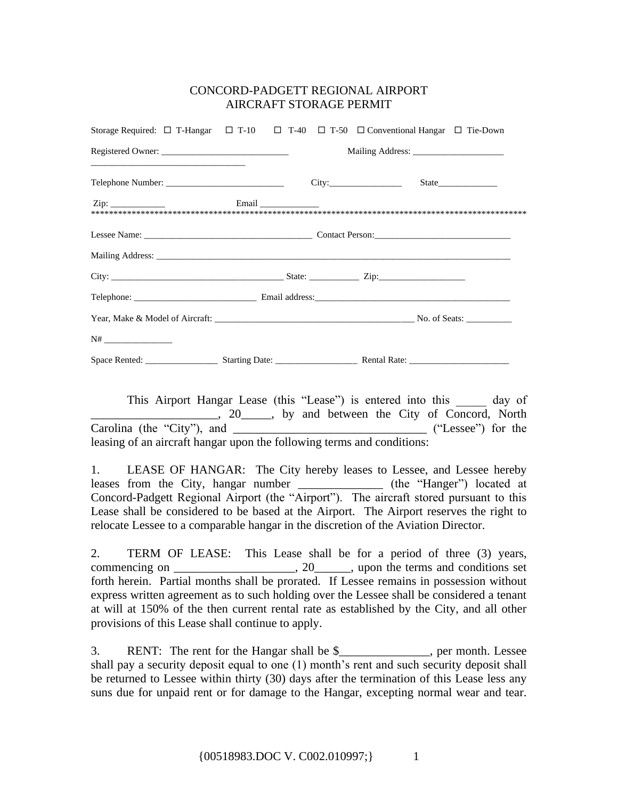## CONCORD-PADGETT REGIONAL AIRPORT AIRCRAFT STORAGE PERMIT

| Storage Required: $\Box$ T-Hangar $\Box$ T-10 $\Box$ T-40 $\Box$ T-50 $\Box$ Conventional Hangar $\Box$ Tie-Down |  |  |  |                  |  |
|------------------------------------------------------------------------------------------------------------------|--|--|--|------------------|--|
|                                                                                                                  |  |  |  | Mailing Address: |  |
|                                                                                                                  |  |  |  |                  |  |
|                                                                                                                  |  |  |  |                  |  |
|                                                                                                                  |  |  |  |                  |  |
|                                                                                                                  |  |  |  |                  |  |
|                                                                                                                  |  |  |  |                  |  |
|                                                                                                                  |  |  |  |                  |  |
|                                                                                                                  |  |  |  |                  |  |
|                                                                                                                  |  |  |  |                  |  |
|                                                                                                                  |  |  |  |                  |  |

This Airport Hangar Lease (this "Lease") is entered into this day of 1.1.1.1.1.1.1.20 and between the City of Concord, North Carolina (the "City"), and \_\_\_\_\_\_\_\_\_\_\_\_\_\_\_\_\_\_\_\_\_\_\_\_\_\_\_\_\_\_\_\_\_\_ ("Lessee") for the leasing of an aircraft hangar upon the following terms and conditions:

1. LEASE OF HANGAR: The City hereby leases to Lessee, and Lessee hereby leases from the City, hangar number \_\_\_\_\_\_\_\_\_\_\_\_\_\_\_ (the "Hanger") located at Concord-Padgett Regional Airport (the "Airport"). The aircraft stored pursuant to this Lease shall be considered to be based at the Airport. The Airport reserves the right to relocate Lessee to a comparable hangar in the discretion of the Aviation Director.

2. TERM OF LEASE: This Lease shall be for a period of three (3) years, commencing on \_\_\_\_\_\_\_\_\_\_\_\_\_\_\_\_\_, 20\_\_\_\_\_, upon the terms and conditions set forth herein. Partial months shall be prorated. If Lessee remains in possession without express written agreement as to such holding over the Lessee shall be considered a tenant at will at 150% of the then current rental rate as established by the City, and all other provisions of this Lease shall continue to apply.

3. RENT: The rent for the Hangar shall be \$\_\_\_\_\_\_\_\_\_\_\_\_\_\_\_, per month. Lessee shall pay a security deposit equal to one (1) month's rent and such security deposit shall be returned to Lessee within thirty (30) days after the termination of this Lease less any suns due for unpaid rent or for damage to the Hangar, excepting normal wear and tear.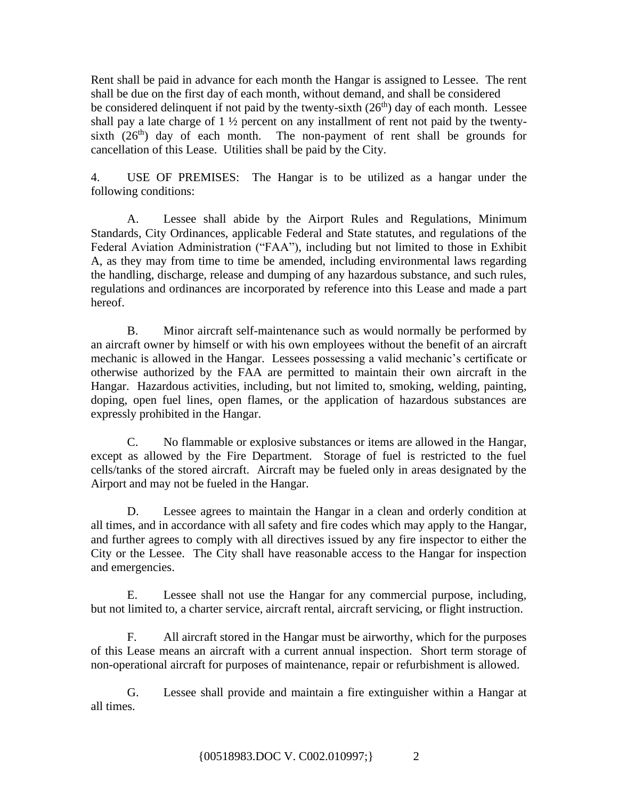Rent shall be paid in advance for each month the Hangar is assigned to Lessee. The rent shall be due on the first day of each month, without demand, and shall be considered be considered delinquent if not paid by the twenty-sixth  $(26<sup>th</sup>)$  day of each month. Lessee shall pay a late charge of  $1 \frac{1}{2}$  percent on any installment of rent not paid by the twentysixth  $(26<sup>th</sup>)$  day of each month. The non-payment of rent shall be grounds for cancellation of this Lease. Utilities shall be paid by the City.

4. USE OF PREMISES: The Hangar is to be utilized as a hangar under the following conditions:

A. Lessee shall abide by the Airport Rules and Regulations, Minimum Standards, City Ordinances, applicable Federal and State statutes, and regulations of the Federal Aviation Administration ("FAA"), including but not limited to those in Exhibit A, as they may from time to time be amended, including environmental laws regarding the handling, discharge, release and dumping of any hazardous substance, and such rules, regulations and ordinances are incorporated by reference into this Lease and made a part hereof.

B. Minor aircraft self-maintenance such as would normally be performed by an aircraft owner by himself or with his own employees without the benefit of an aircraft mechanic is allowed in the Hangar. Lessees possessing a valid mechanic's certificate or otherwise authorized by the FAA are permitted to maintain their own aircraft in the Hangar. Hazardous activities, including, but not limited to, smoking, welding, painting, doping, open fuel lines, open flames, or the application of hazardous substances are expressly prohibited in the Hangar.

C. No flammable or explosive substances or items are allowed in the Hangar, except as allowed by the Fire Department. Storage of fuel is restricted to the fuel cells/tanks of the stored aircraft. Aircraft may be fueled only in areas designated by the Airport and may not be fueled in the Hangar.

D. Lessee agrees to maintain the Hangar in a clean and orderly condition at all times, and in accordance with all safety and fire codes which may apply to the Hangar, and further agrees to comply with all directives issued by any fire inspector to either the City or the Lessee. The City shall have reasonable access to the Hangar for inspection and emergencies.

E. Lessee shall not use the Hangar for any commercial purpose, including, but not limited to, a charter service, aircraft rental, aircraft servicing, or flight instruction.

F. All aircraft stored in the Hangar must be airworthy, which for the purposes of this Lease means an aircraft with a current annual inspection. Short term storage of non-operational aircraft for purposes of maintenance, repair or refurbishment is allowed.

G. Lessee shall provide and maintain a fire extinguisher within a Hangar at all times.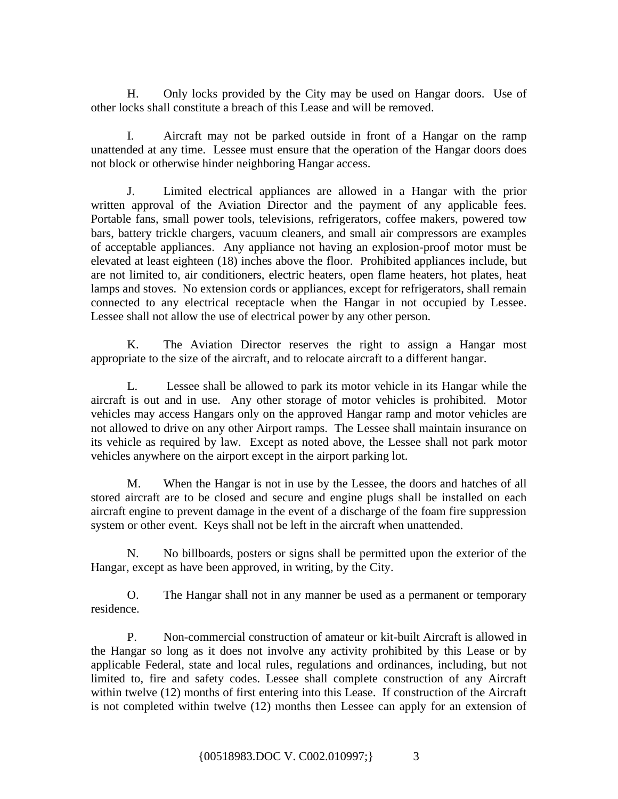H. Only locks provided by the City may be used on Hangar doors. Use of other locks shall constitute a breach of this Lease and will be removed.

I. Aircraft may not be parked outside in front of a Hangar on the ramp unattended at any time. Lessee must ensure that the operation of the Hangar doors does not block or otherwise hinder neighboring Hangar access.

J. Limited electrical appliances are allowed in a Hangar with the prior written approval of the Aviation Director and the payment of any applicable fees. Portable fans, small power tools, televisions, refrigerators, coffee makers, powered tow bars, battery trickle chargers, vacuum cleaners, and small air compressors are examples of acceptable appliances. Any appliance not having an explosion-proof motor must be elevated at least eighteen (18) inches above the floor. Prohibited appliances include, but are not limited to, air conditioners, electric heaters, open flame heaters, hot plates, heat lamps and stoves. No extension cords or appliances, except for refrigerators, shall remain connected to any electrical receptacle when the Hangar in not occupied by Lessee. Lessee shall not allow the use of electrical power by any other person.

K. The Aviation Director reserves the right to assign a Hangar most appropriate to the size of the aircraft, and to relocate aircraft to a different hangar.

L. Lessee shall be allowed to park its motor vehicle in its Hangar while the aircraft is out and in use. Any other storage of motor vehicles is prohibited. Motor vehicles may access Hangars only on the approved Hangar ramp and motor vehicles are not allowed to drive on any other Airport ramps. The Lessee shall maintain insurance on its vehicle as required by law. Except as noted above, the Lessee shall not park motor vehicles anywhere on the airport except in the airport parking lot.

M. When the Hangar is not in use by the Lessee, the doors and hatches of all stored aircraft are to be closed and secure and engine plugs shall be installed on each aircraft engine to prevent damage in the event of a discharge of the foam fire suppression system or other event. Keys shall not be left in the aircraft when unattended.

N. No billboards, posters or signs shall be permitted upon the exterior of the Hangar, except as have been approved, in writing, by the City.

O. The Hangar shall not in any manner be used as a permanent or temporary residence.

P. Non-commercial construction of amateur or kit-built Aircraft is allowed in the Hangar so long as it does not involve any activity prohibited by this Lease or by applicable Federal, state and local rules, regulations and ordinances, including, but not limited to, fire and safety codes. Lessee shall complete construction of any Aircraft within twelve (12) months of first entering into this Lease. If construction of the Aircraft is not completed within twelve (12) months then Lessee can apply for an extension of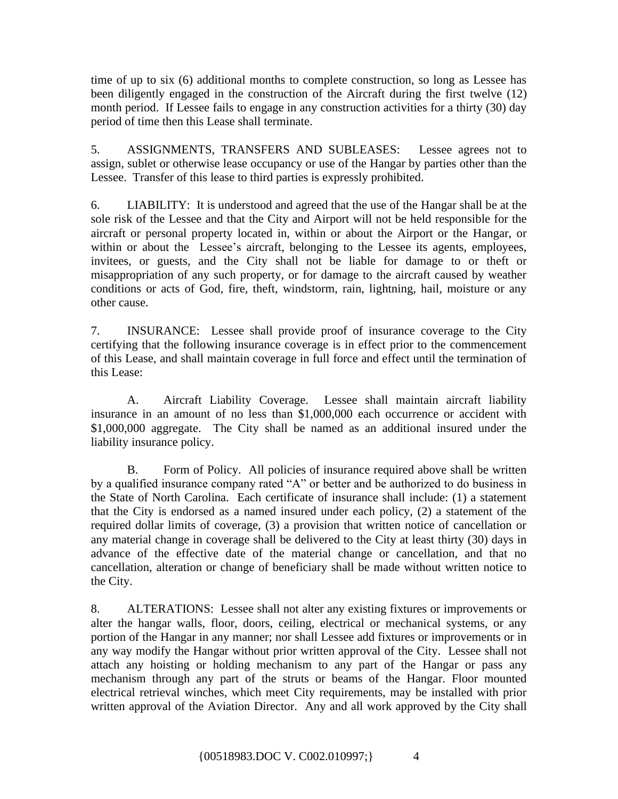time of up to six (6) additional months to complete construction, so long as Lessee has been diligently engaged in the construction of the Aircraft during the first twelve (12) month period. If Lessee fails to engage in any construction activities for a thirty (30) day period of time then this Lease shall terminate.

5. ASSIGNMENTS, TRANSFERS AND SUBLEASES: Lessee agrees not to assign, sublet or otherwise lease occupancy or use of the Hangar by parties other than the Lessee. Transfer of this lease to third parties is expressly prohibited.

6. LIABILITY: It is understood and agreed that the use of the Hangar shall be at the sole risk of the Lessee and that the City and Airport will not be held responsible for the aircraft or personal property located in, within or about the Airport or the Hangar, or within or about the Lessee's aircraft, belonging to the Lessee its agents, employees, invitees, or guests, and the City shall not be liable for damage to or theft or misappropriation of any such property, or for damage to the aircraft caused by weather conditions or acts of God, fire, theft, windstorm, rain, lightning, hail, moisture or any other cause.

7. INSURANCE: Lessee shall provide proof of insurance coverage to the City certifying that the following insurance coverage is in effect prior to the commencement of this Lease, and shall maintain coverage in full force and effect until the termination of this Lease:

A. Aircraft Liability Coverage. Lessee shall maintain aircraft liability insurance in an amount of no less than \$1,000,000 each occurrence or accident with \$1,000,000 aggregate. The City shall be named as an additional insured under the liability insurance policy.

B. Form of Policy. All policies of insurance required above shall be written by a qualified insurance company rated "A" or better and be authorized to do business in the State of North Carolina. Each certificate of insurance shall include: (1) a statement that the City is endorsed as a named insured under each policy, (2) a statement of the required dollar limits of coverage, (3) a provision that written notice of cancellation or any material change in coverage shall be delivered to the City at least thirty (30) days in advance of the effective date of the material change or cancellation, and that no cancellation, alteration or change of beneficiary shall be made without written notice to the City.

8. ALTERATIONS: Lessee shall not alter any existing fixtures or improvements or alter the hangar walls, floor, doors, ceiling, electrical or mechanical systems, or any portion of the Hangar in any manner; nor shall Lessee add fixtures or improvements or in any way modify the Hangar without prior written approval of the City. Lessee shall not attach any hoisting or holding mechanism to any part of the Hangar or pass any mechanism through any part of the struts or beams of the Hangar. Floor mounted electrical retrieval winches, which meet City requirements, may be installed with prior written approval of the Aviation Director. Any and all work approved by the City shall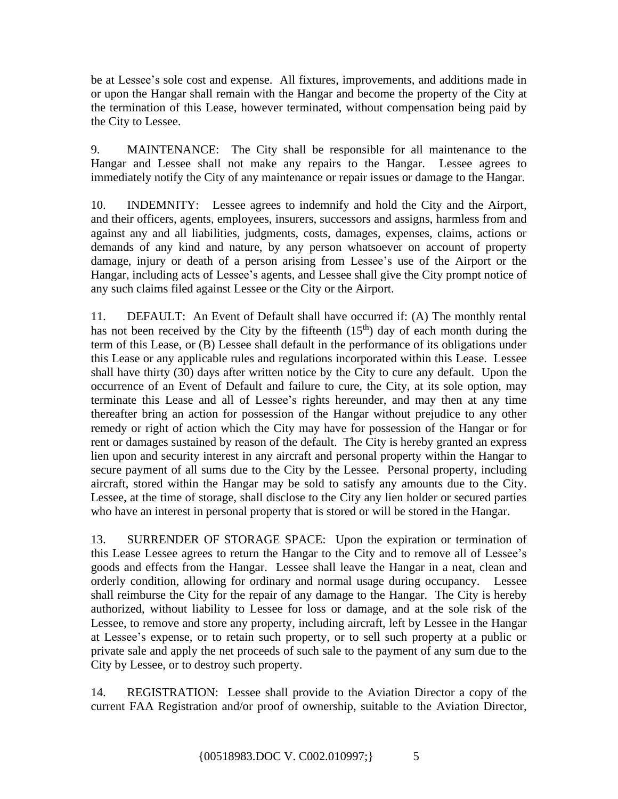be at Lessee's sole cost and expense. All fixtures, improvements, and additions made in or upon the Hangar shall remain with the Hangar and become the property of the City at the termination of this Lease, however terminated, without compensation being paid by the City to Lessee.

9. MAINTENANCE: The City shall be responsible for all maintenance to the Hangar and Lessee shall not make any repairs to the Hangar. Lessee agrees to immediately notify the City of any maintenance or repair issues or damage to the Hangar.

10. INDEMNITY: Lessee agrees to indemnify and hold the City and the Airport, and their officers, agents, employees, insurers, successors and assigns, harmless from and against any and all liabilities, judgments, costs, damages, expenses, claims, actions or demands of any kind and nature, by any person whatsoever on account of property damage, injury or death of a person arising from Lessee's use of the Airport or the Hangar, including acts of Lessee's agents, and Lessee shall give the City prompt notice of any such claims filed against Lessee or the City or the Airport.

11. DEFAULT: An Event of Default shall have occurred if: (A) The monthly rental has not been received by the City by the fifteenth  $(15<sup>th</sup>)$  day of each month during the term of this Lease, or (B) Lessee shall default in the performance of its obligations under this Lease or any applicable rules and regulations incorporated within this Lease. Lessee shall have thirty (30) days after written notice by the City to cure any default. Upon the occurrence of an Event of Default and failure to cure, the City, at its sole option, may terminate this Lease and all of Lessee's rights hereunder, and may then at any time thereafter bring an action for possession of the Hangar without prejudice to any other remedy or right of action which the City may have for possession of the Hangar or for rent or damages sustained by reason of the default. The City is hereby granted an express lien upon and security interest in any aircraft and personal property within the Hangar to secure payment of all sums due to the City by the Lessee. Personal property, including aircraft, stored within the Hangar may be sold to satisfy any amounts due to the City. Lessee, at the time of storage, shall disclose to the City any lien holder or secured parties who have an interest in personal property that is stored or will be stored in the Hangar.

13. SURRENDER OF STORAGE SPACE: Upon the expiration or termination of this Lease Lessee agrees to return the Hangar to the City and to remove all of Lessee's goods and effects from the Hangar. Lessee shall leave the Hangar in a neat, clean and orderly condition, allowing for ordinary and normal usage during occupancy. Lessee shall reimburse the City for the repair of any damage to the Hangar. The City is hereby authorized, without liability to Lessee for loss or damage, and at the sole risk of the Lessee, to remove and store any property, including aircraft, left by Lessee in the Hangar at Lessee's expense, or to retain such property, or to sell such property at a public or private sale and apply the net proceeds of such sale to the payment of any sum due to the City by Lessee, or to destroy such property.

14. REGISTRATION: Lessee shall provide to the Aviation Director a copy of the current FAA Registration and/or proof of ownership, suitable to the Aviation Director,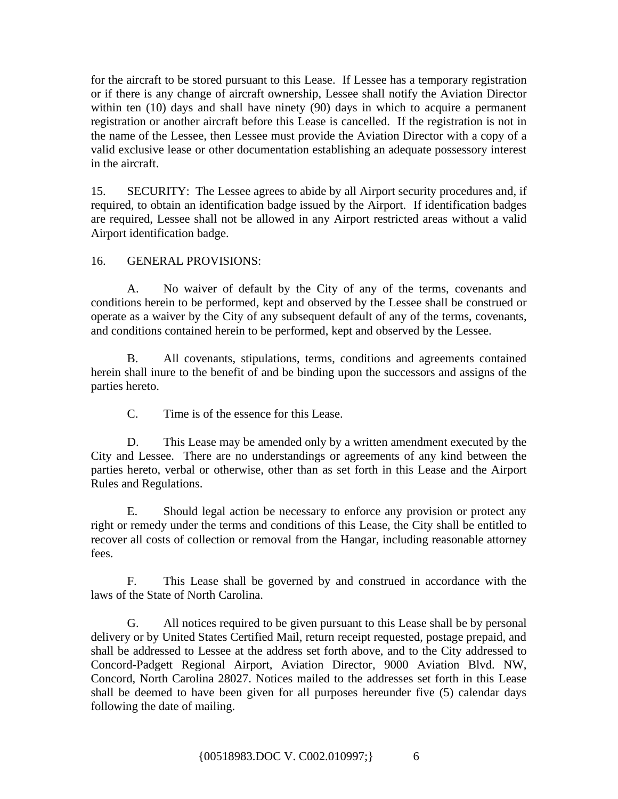for the aircraft to be stored pursuant to this Lease. If Lessee has a temporary registration or if there is any change of aircraft ownership, Lessee shall notify the Aviation Director within ten (10) days and shall have ninety (90) days in which to acquire a permanent registration or another aircraft before this Lease is cancelled. If the registration is not in the name of the Lessee, then Lessee must provide the Aviation Director with a copy of a valid exclusive lease or other documentation establishing an adequate possessory interest in the aircraft.

15. SECURITY: The Lessee agrees to abide by all Airport security procedures and, if required, to obtain an identification badge issued by the Airport. If identification badges are required, Lessee shall not be allowed in any Airport restricted areas without a valid Airport identification badge.

# 16. GENERAL PROVISIONS:

A. No waiver of default by the City of any of the terms, covenants and conditions herein to be performed, kept and observed by the Lessee shall be construed or operate as a waiver by the City of any subsequent default of any of the terms, covenants, and conditions contained herein to be performed, kept and observed by the Lessee.

B. All covenants, stipulations, terms, conditions and agreements contained herein shall inure to the benefit of and be binding upon the successors and assigns of the parties hereto.

C. Time is of the essence for this Lease.

D. This Lease may be amended only by a written amendment executed by the City and Lessee. There are no understandings or agreements of any kind between the parties hereto, verbal or otherwise, other than as set forth in this Lease and the Airport Rules and Regulations.

E. Should legal action be necessary to enforce any provision or protect any right or remedy under the terms and conditions of this Lease, the City shall be entitled to recover all costs of collection or removal from the Hangar, including reasonable attorney fees.

F. This Lease shall be governed by and construed in accordance with the laws of the State of North Carolina.

G. All notices required to be given pursuant to this Lease shall be by personal delivery or by United States Certified Mail, return receipt requested, postage prepaid, and shall be addressed to Lessee at the address set forth above, and to the City addressed to Concord-Padgett Regional Airport, Aviation Director, 9000 Aviation Blvd. NW, Concord, North Carolina 28027. Notices mailed to the addresses set forth in this Lease shall be deemed to have been given for all purposes hereunder five (5) calendar days following the date of mailing.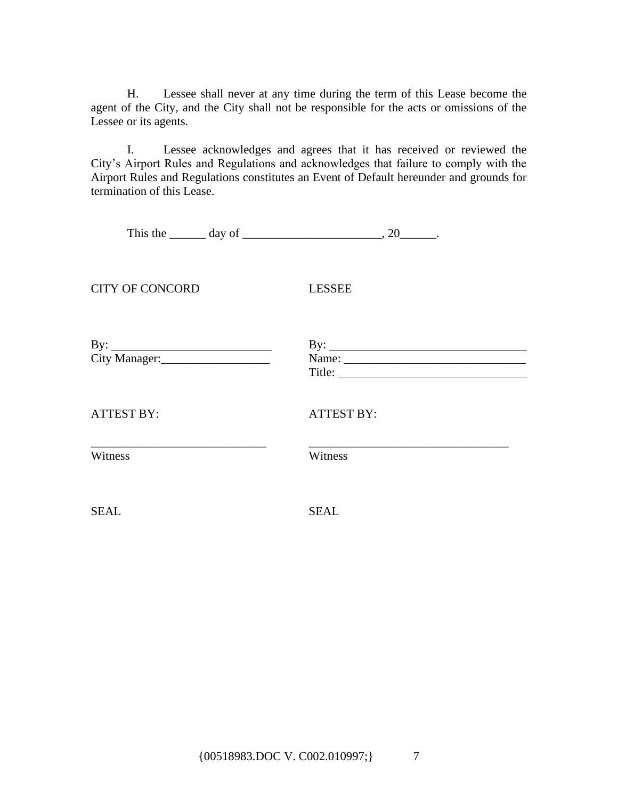H. Lessee shall never at any time during the term of this Lease become the agent of the City, and the City shall not be responsible for the acts or omissions of the Lessee or its agents.

I. Lessee acknowledges and agrees that it has received or reviewed the City's Airport Rules and Regulations and acknowledges that failure to comply with the Airport Rules and Regulations constitutes an Event of Default hereunder and grounds for termination of this Lease.

|                        | This the $\_\_\_\_$ day of $\_\_\_\_\_\_\_\_$ , 20 $\_\_\_\_\_$ . |
|------------------------|-------------------------------------------------------------------|
| <b>CITY OF CONCORD</b> | <b>LESSEE</b>                                                     |
|                        |                                                                   |
| <b>ATTEST BY:</b>      | <b>ATTEST BY:</b>                                                 |
| Witness                | Witness                                                           |
| <b>SEAL</b>            | <b>SEAL</b>                                                       |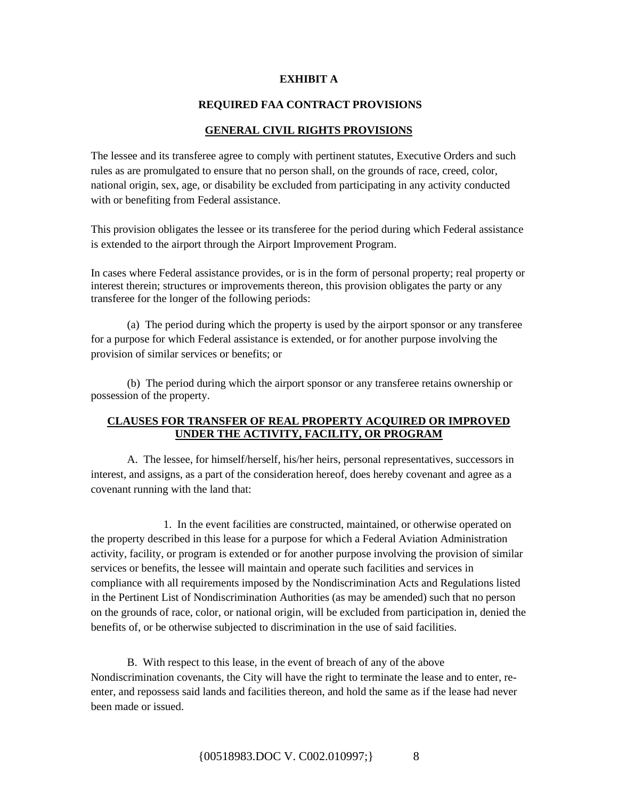#### **EXHIBIT A**

#### **REQUIRED FAA CONTRACT PROVISIONS**

#### **GENERAL CIVIL RIGHTS PROVISIONS**

The lessee and its transferee agree to comply with pertinent statutes, Executive Orders and such rules as are promulgated to ensure that no person shall, on the grounds of race, creed, color, national origin, sex, age, or disability be excluded from participating in any activity conducted with or benefiting from Federal assistance.

This provision obligates the lessee or its transferee for the period during which Federal assistance is extended to the airport through the Airport Improvement Program.

In cases where Federal assistance provides, or is in the form of personal property; real property or interest therein; structures or improvements thereon, this provision obligates the party or any transferee for the longer of the following periods:

(a) The period during which the property is used by the airport sponsor or any transferee for a purpose for which Federal assistance is extended, or for another purpose involving the provision of similar services or benefits; or

(b) The period during which the airport sponsor or any transferee retains ownership or possession of the property.

## **CLAUSES FOR TRANSFER OF REAL PROPERTY ACQUIRED OR IMPROVED UNDER THE ACTIVITY, FACILITY, OR PROGRAM**

A. The lessee, for himself/herself, his/her heirs, personal representatives, successors in interest, and assigns, as a part of the consideration hereof, does hereby covenant and agree as a covenant running with the land that:

1. In the event facilities are constructed, maintained, or otherwise operated on the property described in this lease for a purpose for which a Federal Aviation Administration activity, facility, or program is extended or for another purpose involving the provision of similar services or benefits, the lessee will maintain and operate such facilities and services in compliance with all requirements imposed by the Nondiscrimination Acts and Regulations listed in the Pertinent List of Nondiscrimination Authorities (as may be amended) such that no person on the grounds of race, color, or national origin, will be excluded from participation in, denied the benefits of, or be otherwise subjected to discrimination in the use of said facilities.

B. With respect to this lease, in the event of breach of any of the above Nondiscrimination covenants, the City will have the right to terminate the lease and to enter, reenter, and repossess said lands and facilities thereon, and hold the same as if the lease had never been made or issued.